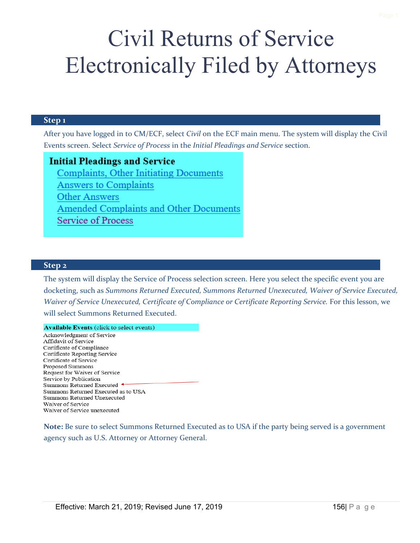# Civil Returns of Service Electronically Filed by Attorneys

#### **Step 1**

After you have logged in to CM/ECF, select *Civil* on the ECF main menu. The system will display the Civil Events screen. Select *Service of Process* in the *Initial Pleadings and Service* section.

### **Initial Pleadings and Service**

**Complaints, Other Initiating Documents Answers to Complaints Other Answers Amended Complaints and Other Documents Service of Process** 

#### **Step 2**

The system will display the Service of Process selection screen. Here you select the specific event you are docketing, such as *Summons Returned Executed, Summons Returned Unexecuted, Waiver of Service Executed, Waiver of Service Unexecuted, Certificate of Compliance or Certificate Reporting Service.* For this lesson, we will select Summons Returned Executed.

#### **Available Events (click to select events)**

Acknowledgment of Service Affidavit of Service Certificate of Compliance Certificate Reporting Service Certificate of Service Proposed Summons Request for Waiver of Service Service by Publication Summons Returned Executed ← Summons Returned Executed as to USA Summons Returned Unexecuted Waiver of Service Waiver of Service unexecuted

**Note:** Be sure to select Summons Returned Executed as to USA if the party being served is a government agency such as U.S. Attorney or Attorney General.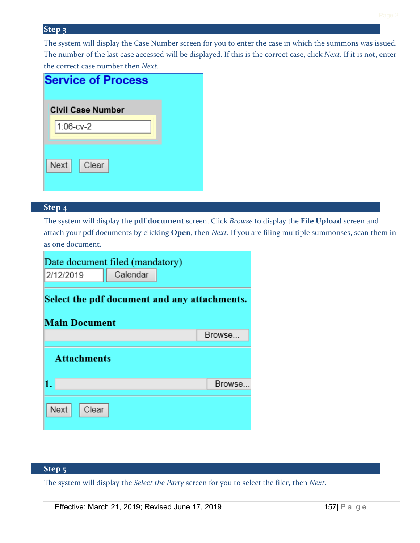#### **Step 4**

The system will display the **pdf document** screen. Click *Browse* to display the **File Upload** screen and attach your pdf documents by clicking **Open**, then *Next*. If you are filing multiple summonses, scan them in as one document.

| Date document filed (mandatory)                                      |          |  |         |  |
|----------------------------------------------------------------------|----------|--|---------|--|
| 2/12/2019                                                            | Calendar |  |         |  |
| Select the pdf document and any attachments.<br><b>Main Document</b> |          |  |         |  |
|                                                                      |          |  | Browse  |  |
| <b>Attachments</b>                                                   |          |  |         |  |
|                                                                      |          |  | Browse. |  |
| <b>Next</b><br>Clear                                                 |          |  |         |  |

## **Step 5**

The system will display the *Select the Party* screen for you to select the filer, then *Next*.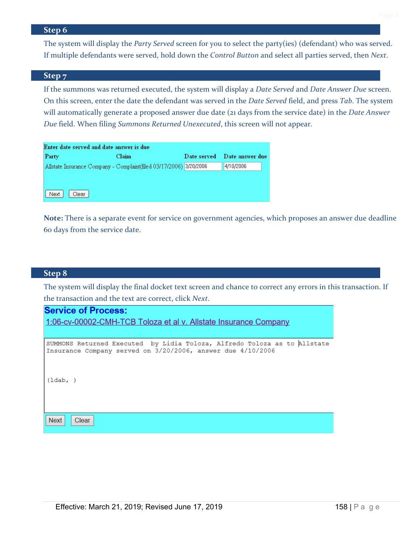The system will display the *Party Served* screen for you to select the party(ies) (defendant) who was served. If multiple defendants were served, hold down the *Control Button* and select all parties served, then *Next*.

#### **Step 7**

If the summons was returned executed, the system will display a *Date Served* and *Date Answer Due* screen. On this screen, enter the date the defendant was served in the *Date Served* field, and press *Tab*. The system will automatically generate a proposed answer due date (21 days from the service date) in the *Date Answer Due* field. When filing *Summons Returned Unexecuted*, this screen will not appear.

| Enter date served and date answer is due |  |                                                                    |  |  |
|------------------------------------------|--|--------------------------------------------------------------------|--|--|
| Claim                                    |  | Date served Date answer due                                        |  |  |
|                                          |  | 4/10/2006                                                          |  |  |
|                                          |  |                                                                    |  |  |
|                                          |  |                                                                    |  |  |
|                                          |  |                                                                    |  |  |
|                                          |  | Allstate Insurance Company - Complaint(filed 03/17/2006) 3/20/2006 |  |  |

**Note:** There is a separate event for service on government agencies, which proposes an answer due deadline 60 days from the service date.

#### **Step 8**

The system will display the final docket text screen and chance to correct any errors in this transaction. If the transaction and the text are correct, click *Next*.

# **Service of Process:** 1:06-cv-00002-CMH-TCB Toloza et al v. Allstate Insurance Company SUMMONS Returned Executed by Lidia Toloza, Alfredo Toloza as to Allstate Insurance Company served on 3/20/2006, answer due 4/10/2006

 $(1dab, )$ 

Next Clear